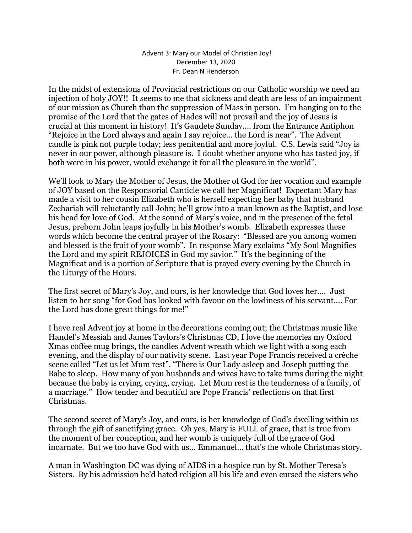## Advent 3: Mary our Model of Christian Joy! December 13, 2020 Fr. Dean N Henderson

In the midst of extensions of Provincial restrictions on our Catholic worship we need an injection of holy JOY!! It seems to me that sickness and death are less of an impairment of our mission as Church than the suppression of Mass in person. I'm hanging on to the promise of the Lord that the gates of Hades will not prevail and the joy of Jesus is crucial at this moment in history! It's Gaudete Sunday…. from the Entrance Antiphon "Rejoice in the Lord always and again I say rejoice… the Lord is near". The Advent candle is pink not purple today; less penitential and more joyful. C.S. Lewis said "Joy is never in our power, although pleasure is. I doubt whether anyone who has tasted joy, if both were in his power, would exchange it for all the pleasure in the world".

We'll look to Mary the Mother of Jesus, the Mother of God for her vocation and example of JOY based on the Responsorial Canticle we call her Magnificat! Expectant Mary has made a visit to her cousin Elizabeth who is herself expecting her baby that husband Zechariah will reluctantly call John; he'll grow into a man known as the Baptist, and lose his head for love of God. At the sound of Mary's voice, and in the presence of the fetal Jesus, preborn John leaps joyfully in his Mother's womb. Elizabeth expresses these words which become the central prayer of the Rosary: "Blessed are you among women and blessed is the fruit of your womb". In response Mary exclaims "My Soul Magnifies the Lord and my spirit REJOICES in God my savior." It's the beginning of the Magnificat and is a portion of Scripture that is prayed every evening by the Church in the Liturgy of the Hours.

The first secret of Mary's Joy, and ours, is her knowledge that God loves her…. Just listen to her song "for God has looked with favour on the lowliness of his servant…. For the Lord has done great things for me!"

I have real Advent joy at home in the decorations coming out; the Christmas music like Handel's Messiah and James Taylors's Christmas CD, I love the memories my Oxford Xmas coffee mug brings, the candles Advent wreath which we light with a song each evening, and the display of our nativity scene. Last year Pope Francis received a crèche scene called "Let us let Mum rest". "There is Our Lady asleep and Joseph putting the Babe to sleep. How many of you husbands and wives have to take turns during the night because the baby is crying, crying, crying. Let Mum rest is the tenderness of a family, of a marriage." How tender and beautiful are Pope Francis' reflections on that first Christmas.

The second secret of Mary's Joy, and ours, is her knowledge of God's dwelling within us through the gift of sanctifying grace. Oh yes, Mary is FULL of grace, that is true from the moment of her conception, and her womb is uniquely full of the grace of God incarnate. But we too have God with us… Emmanuel… that's the whole Christmas story.

A man in Washington DC was dying of AIDS in a hospice run by St. Mother Teresa's Sisters. By his admission he'd hated religion all his life and even cursed the sisters who